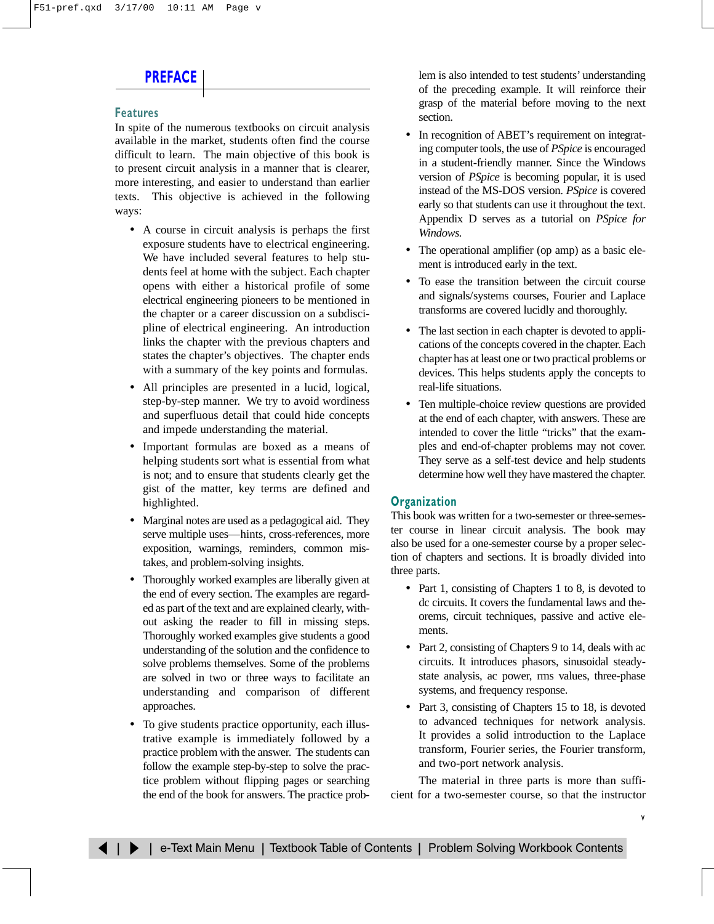# **PREFACE**

### <span id="page-0-0"></span>**Features**

In spite of the numerous textbooks on circuit analysis available in the market, students often find the course difficult to learn. The main objective of this book is to present circuit analysis in a manner that is clearer, more interesting, and easier to understand than earlier texts. This objective is achieved in the following ways:

- A course in circuit analysis is perhaps the first exposure students have to electrical engineering. We have included several features to help students feel at home with the subject. Each chapter opens with either a historical profile of some electrical engineering pioneers to be mentioned in the chapter or a career discussion on a subdiscipline of electrical engineering. An introduction links the chapter with the previous chapters and states the chapter's objectives. The chapter ends with a summary of the key points and formulas.
- All principles are presented in a lucid, logical, step-by-step manner. We try to avoid wordiness and superfluous detail that could hide concepts and impede understanding the material.
- Important formulas are boxed as a means of helping students sort what is essential from what is not; and to ensure that students clearly get the gist of the matter, key terms are defined and highlighted.
- Marginal notes are used as a pedagogical aid. They serve multiple uses—hints, cross-references, more exposition, warnings, reminders, common mistakes, and problem-solving insights.
- Thoroughly worked examples are liberally given at the end of every section. The examples are regarded as part of the text and are explained clearly, without asking the reader to fill in missing steps. Thoroughly worked examples give students a good understanding of the solution and the confidence to solve problems themselves. Some of the problems are solved in two or three ways to facilitate an understanding and comparison of different approaches.
- To give students practice opportunity, each illustrative example is immediately followed by a practice problem with the answer. The students can follow the example step-by-step to solve the practice problem without flipping pages or searching the end of the book for answers. The practice prob-

lem is also intended to test students' understanding of the preceding example. It will reinforce their grasp of the material before moving to the next section.

- In recognition of ABET's requirement on integrating computer tools, the use of *PSpice* is encouraged in a student-friendly manner. Since the Windows version of *PSpice* is becoming popular, it is used instead of the MS-DOS version. *PSpice* is covered early so that students can use it throughout the text. Appendix D serves as a tutorial on *PSpice for Windows.*
- The operational amplifier (op amp) as a basic element is introduced early in the text.
- To ease the transition between the circuit course and signals/systems courses, Fourier and Laplace transforms are covered lucidly and thoroughly.
- The last section in each chapter is devoted to applications of the concepts covered in the chapter. Each chapter has at least one or two practical problems or devices. This helps students apply the concepts to real-life situations.
- Ten multiple-choice review questions are provided at the end of each chapter, with answers. These are intended to cover the little "tricks" that the examples and end-of-chapter problems may not cover. They serve as a self-test device and help students determine how well they have mastered the chapter.

### **Organization**

This book was written for a two-semester or three-semester course in linear circuit analysis. The book may also be used for a one-semester course by a proper selection of chapters and sections. It is broadly divided into three parts.

- Part 1, consisting of Chapters 1 to 8, is devoted to dc circuits. It covers the fundamental laws and theorems, circuit techniques, passive and active elements.
- Part 2, consisting of Chapters 9 to 14, deals with ac circuits. It introduces phasors, sinusoidal steadystate analysis, ac power, rms values, three-phase systems, and frequency response.
- Part 3, consisting of Chapters 15 to 18, is devoted to advanced techniques for network analysis. It provides a solid introduction to the Laplace transform, Fourier series, the Fourier transform, and two-port network analysis.

The material in three parts is more than sufficient for a two-semester course, so that the instructor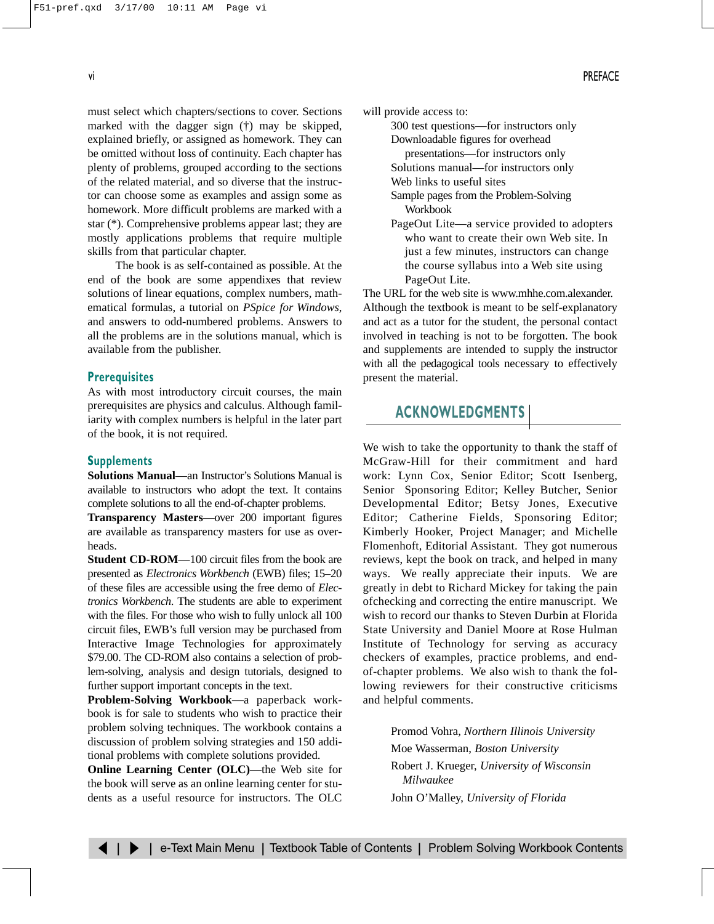must select which chapters/sections to cover. Sections marked with the dagger sign (†) may be skipped, explained briefly, or assigned as homework. They can be omitted without loss of continuity. Each chapter has plenty of problems, grouped according to the sections of the related material, and so diverse that the instructor can choose some as examples and assign some as homework. More difficult problems are marked with a star (\*). Comprehensive problems appear last; they are mostly applications problems that require multiple skills from that particular chapter.

The book is as self-contained as possible. At the end of the book are some appendixes that review solutions of linear equations, complex numbers, mathematical formulas, a tutorial on *PSpice for Windows*, and answers to odd-numbered problems. Answers to all the problems are in the solutions manual, which is available from the publisher.

#### **Prerequisites**

As with most introductory circuit courses, the main prerequisites are physics and calculus. Although familiarity with complex numbers is helpful in the later part of the book, it is not required.

#### **Supplements**

**Solutions Manual**—an Instructor's Solutions Manual is available to instructors who adopt the text. It contains complete solutions to all the end-of-chapter problems.

**Transparency Masters**—over 200 important figures are available as transparency masters for use as overheads.

**Student CD-ROM**—100 circuit files from the book are presented as *Electronics Workbench* (EWB) files; 15–20 of these files are accessible using the free demo of *Electronics Workbench*. The students are able to experiment with the files. For those who wish to fully unlock all 100 circuit files, EWB's full version may be purchased from Interactive Image Technologies for approximately \$79.00. The CD-ROM also contains a selection of problem-solving, analysis and design tutorials, designed to further support important concepts in the text.

**Problem-Solving Workbook**—a paperback workbook is for sale to students who wish to practice their problem solving techniques. The workbook contains a discussion of problem solving strategies and 150 additional problems with complete solutions provided.

**Online Learning Center (OLC)**—the Web site for the book will serve as an online learning center for students as a useful resource for instructors. The OLC will provide access to:

300 test questions—for instructors only Downloadable figures for overhead

presentations—for instructors only

Solutions manual—for instructors only

Web links to useful sites

- Sample pages from the Problem-Solving Workbook
- PageOut Lite—a service provided to adopters who want to create their own Web site. In just a few minutes, instructors can change the course syllabus into a Web site using PageOut Lite.

The URL for the web site is www.mhhe.com.alexander. Although the textbook is meant to be self-explanatory and act as a tutor for the student, the personal contact involved in teaching is not to be forgotten. The book and supplements are intended to supply the instructor with all the pedagogical tools necessary to effectively present the material.

## **[ACKNOWLEDGMENTS](#page-0-0)**

We wish to take the opportunity to thank the staff of McGraw-Hill for their commitment and hard work: Lynn Cox, Senior Editor; Scott Isenberg, Senior Sponsoring Editor; Kelley Butcher, Senior Developmental Editor; Betsy Jones, Executive Editor; Catherine Fields, Sponsoring Editor; Kimberly Hooker, Project Manager; and Michelle Flomenhoft, Editorial Assistant. They got numerous reviews, kept the book on track, and helped in many ways. We really appreciate their inputs. We are greatly in debt to Richard Mickey for taking the pain ofchecking and correcting the entire manuscript. We wish to record our thanks to Steven Durbin at Florida State University and Daniel Moore at Rose Hulman Institute of Technology for serving as accuracy checkers of examples, practice problems, and endof-chapter problems. We also wish to thank the following reviewers for their constructive criticisms and helpful comments.

> Promod Vohra, *Northern Illinois University* Moe Wasserman, *Boston University* Robert J. Krueger, *University of Wisconsin Milwaukee* John O'Malley, *University of Florida*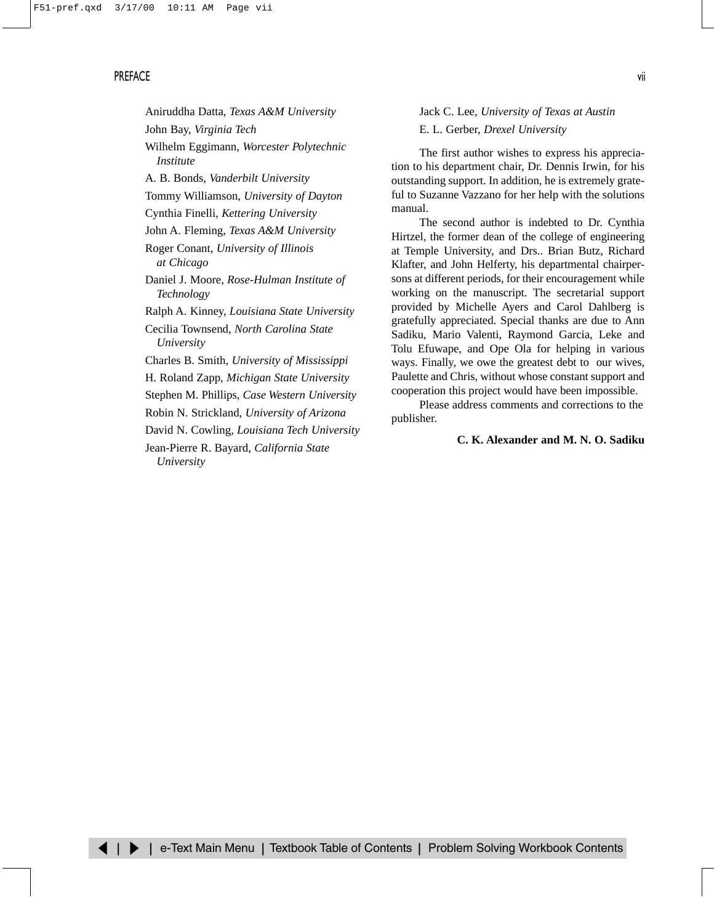Aniruddha Datta, *Texas A&M University* John Bay, *Virginia Tech* Wilhelm Eggimann, *Worcester Polytechnic Institute* A. B. Bonds, *Vanderbilt University* Tommy Williamson, *University of Dayton* Cynthia Finelli, *Kettering University* John A. Fleming, *Texas A&M University* Roger Conant, *University of Illinois at Chicago* Daniel J. Moore, *Rose-Hulman Institute of Technology* Ralph A. Kinney, *Louisiana State University* Cecilia Townsend, *North Carolina State University* Charles B. Smith, *University of Mississippi* H. Roland Zapp, *Michigan State University* Stephen M. Phillips, *Case Western University* Robin N. Strickland, *University of Arizona* David N. Cowling, *Louisiana Tech University* Jean-Pierre R. Bayard, *California State University*

Jack C. Lee, *University of Texas at Austin* E. L. Gerber, *Drexel University*

The first author wishes to express his appreciation to his department chair, Dr. Dennis Irwin, for his outstanding support. In addition, he is extremely grateful to Suzanne Vazzano for her help with the solutions manual.

The second author is indebted to Dr. Cynthia Hirtzel, the former dean of the college of engineering at Temple University, and Drs.. Brian Butz, Richard Klafter, and John Helferty, his departmental chairpersons at different periods, for their encouragement while working on the manuscript. The secretarial support provided by Michelle Ayers and Carol Dahlberg is gratefully appreciated. Special thanks are due to Ann Sadiku, Mario Valenti, Raymond Garcia, Leke and Tolu Efuwape, and Ope Ola for helping in various ways. Finally, we owe the greatest debt to our wives, Paulette and Chris, without whose constant support and cooperation this project would have been impossible.

Please address comments and corrections to the publisher.

#### **C. K. Alexander and M. N. O. Sadiku**